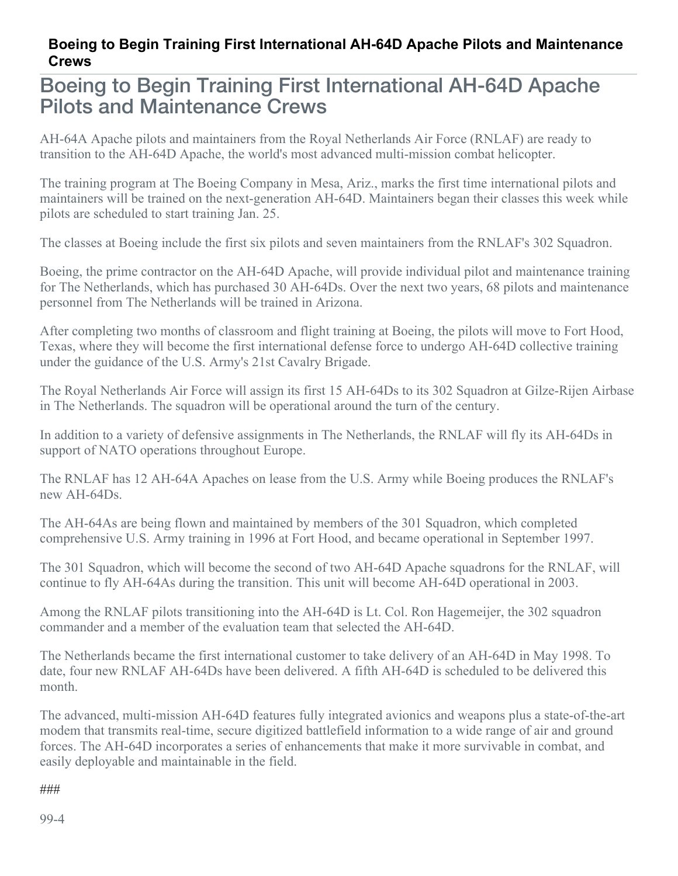## **Boeing to Begin Training First International AH-64D Apache Pilots and Maintenance Crews**

## Boeing to Begin Training First International AH-64D Apache Pilots and Maintenance Crews

AH-64A Apache pilots and maintainers from the Royal Netherlands Air Force (RNLAF) are ready to transition to the AH-64D Apache, the world's most advanced multi-mission combat helicopter.

The training program at The Boeing Company in Mesa, Ariz., marks the first time international pilots and maintainers will be trained on the next-generation AH-64D. Maintainers began their classes this week while pilots are scheduled to start training Jan. 25.

The classes at Boeing include the first six pilots and seven maintainers from the RNLAF's 302 Squadron.

Boeing, the prime contractor on the AH-64D Apache, will provide individual pilot and maintenance training for The Netherlands, which has purchased 30 AH-64Ds. Over the next two years, 68 pilots and maintenance personnel from The Netherlands will be trained in Arizona.

After completing two months of classroom and flight training at Boeing, the pilots will move to Fort Hood, Texas, where they will become the first international defense force to undergo AH-64D collective training under the guidance of the U.S. Army's 21st Cavalry Brigade.

The Royal Netherlands Air Force will assign its first 15 AH-64Ds to its 302 Squadron at Gilze-Rijen Airbase in The Netherlands. The squadron will be operational around the turn of the century.

In addition to a variety of defensive assignments in The Netherlands, the RNLAF will fly its AH-64Ds in support of NATO operations throughout Europe.

The RNLAF has 12 AH-64A Apaches on lease from the U.S. Army while Boeing produces the RNLAF's new AH-64Ds.

The AH-64As are being flown and maintained by members of the 301 Squadron, which completed comprehensive U.S. Army training in 1996 at Fort Hood, and became operational in September 1997.

The 301 Squadron, which will become the second of two AH-64D Apache squadrons for the RNLAF, will continue to fly AH-64As during the transition. This unit will become AH-64D operational in 2003.

Among the RNLAF pilots transitioning into the AH-64D is Lt. Col. Ron Hagemeijer, the 302 squadron commander and a member of the evaluation team that selected the AH-64D.

The Netherlands became the first international customer to take delivery of an AH-64D in May 1998. To date, four new RNLAF AH-64Ds have been delivered. A fifth AH-64D is scheduled to be delivered this month.

The advanced, multi-mission AH-64D features fully integrated avionics and weapons plus a state-of-the-art modem that transmits real-time, secure digitized battlefield information to a wide range of air and ground forces. The AH-64D incorporates a series of enhancements that make it more survivable in combat, and easily deployable and maintainable in the field.

## ###

99-4